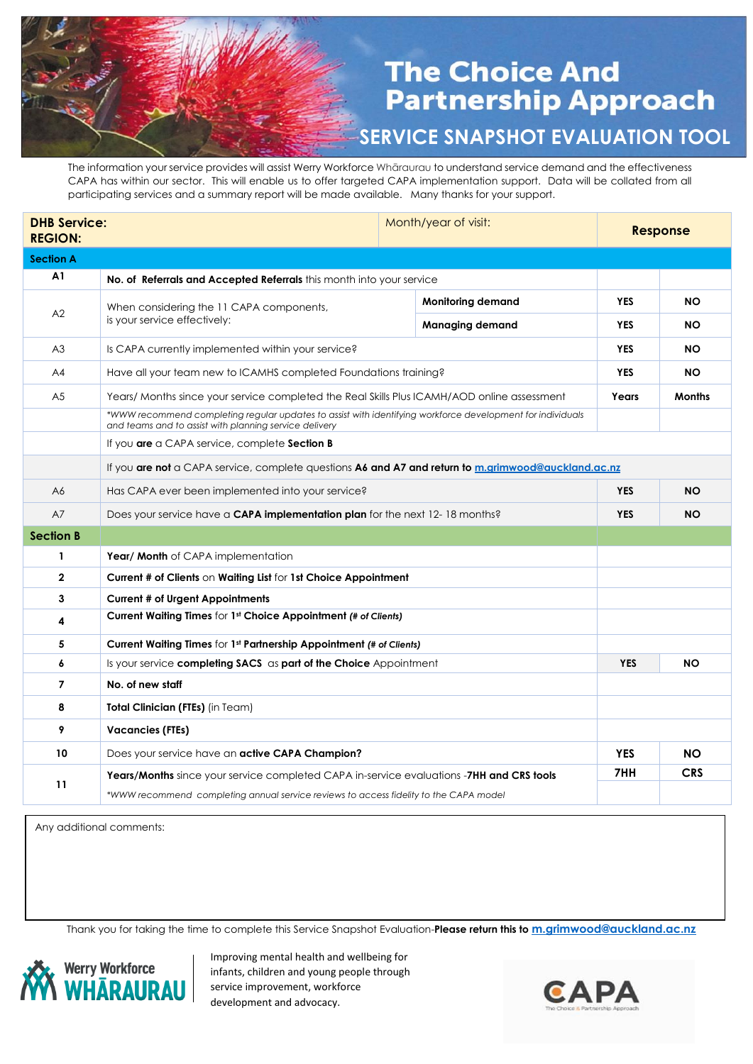## **The Choice And Partnership Approach**

**SERVICE SNAPSHOT EVALUATION TOOL**

The information your service provides will assist Werry Workforce Whāraurau to understand service demand and the effectiveness CAPA has within our sector. This will enable us to offer targeted CAPA implementation support. Data will be collated from all participating services and a summary report will be made available. Many thanks for your support.

| <b>DHB Service:</b><br><b>REGION:</b> |                                                                                                                                                                      |  | Month/year of visit:     |            | <b>Response</b> |  |
|---------------------------------------|----------------------------------------------------------------------------------------------------------------------------------------------------------------------|--|--------------------------|------------|-----------------|--|
| <b>Section A</b>                      |                                                                                                                                                                      |  |                          |            |                 |  |
| A1                                    | No. of Referrals and Accepted Referrals this month into your service                                                                                                 |  |                          |            |                 |  |
| A2                                    | When considering the 11 CAPA components,<br>is your service effectively:                                                                                             |  | <b>Monitoring demand</b> | <b>YES</b> | <b>NO</b>       |  |
|                                       |                                                                                                                                                                      |  | <b>Managing demand</b>   | <b>YES</b> | NO.             |  |
| A3                                    | Is CAPA currently implemented within your service?                                                                                                                   |  |                          | <b>YES</b> | ΝO              |  |
| A4                                    | Have all your team new to ICAMHS completed Foundations training?                                                                                                     |  |                          | <b>YES</b> | NO.             |  |
| A <sub>5</sub>                        | Years/ Months since your service completed the Real Skills Plus ICAMH/AOD online assessment                                                                          |  |                          | Years      | <b>Months</b>   |  |
|                                       | *WWW recommend completing regular updates to assist with identifying workforce development for individuals<br>and teams and to assist with planning service delivery |  |                          |            |                 |  |
|                                       | If you are a CAPA service, complete Section B                                                                                                                        |  |                          |            |                 |  |
|                                       | If you are not a CAPA service, complete questions A6 and A7 and return to m.grimwood@auckland.ac.nz                                                                  |  |                          |            |                 |  |
| A6                                    | Has CAPA ever been implemented into your service?                                                                                                                    |  |                          | <b>YES</b> | <b>NO</b>       |  |
| A7                                    | Does your service have a CAPA implementation plan for the next 12-18 months?                                                                                         |  |                          | <b>YES</b> | NO.             |  |
| <b>Section B</b>                      |                                                                                                                                                                      |  |                          |            |                 |  |
| 1                                     | <b>Year/ Month</b> of CAPA implementation                                                                                                                            |  |                          |            |                 |  |
| $\mathbf{2}$                          | <b>Current # of Clients on Waiting List for 1st Choice Appointment</b>                                                                                               |  |                          |            |                 |  |
| 3                                     | <b>Current # of Urgent Appointments</b>                                                                                                                              |  |                          |            |                 |  |
| 4                                     | Current Waiting Times for 1st Choice Appointment (# of Clients)                                                                                                      |  |                          |            |                 |  |
| 5                                     | <b>Current Waiting Times for 1st Partnership Appointment (# of Clients)</b>                                                                                          |  |                          |            |                 |  |
| 6                                     | Is your service completing SACS as part of the Choice Appointment                                                                                                    |  |                          | <b>YES</b> | <b>NO</b>       |  |
| $\overline{7}$                        | No. of new staff                                                                                                                                                     |  |                          |            |                 |  |
| 8                                     | <b>Total Clinician (FTEs)</b> (in Team)                                                                                                                              |  |                          |            |                 |  |
| 9                                     | <b>Vacancies (FTEs)</b>                                                                                                                                              |  |                          |            |                 |  |
| 10                                    | Does your service have an <b>active CAPA Champion?</b>                                                                                                               |  |                          | <b>YES</b> | <b>NO</b>       |  |
| 11                                    | <b>Years/Months</b> since your service completed CAPA in-service evaluations - <b>7HH and CRS tools</b>                                                              |  |                          | 7HH        | <b>CRS</b>      |  |
|                                       | *WWW recommend completing annual service reviews to access fidelity to the CAPA model                                                                                |  |                          |            |                 |  |

Any additional comments:

Thank you for taking the time to complete this Service Snapshot Evaluation-**Please return this to [m.grimwood@auckland.ac.nz](mailto:m.grimwood@auckland.ac.nz)**



Improving mental health and wellbeing for infants, children and young people through service improvement, workforce development and advocacy.